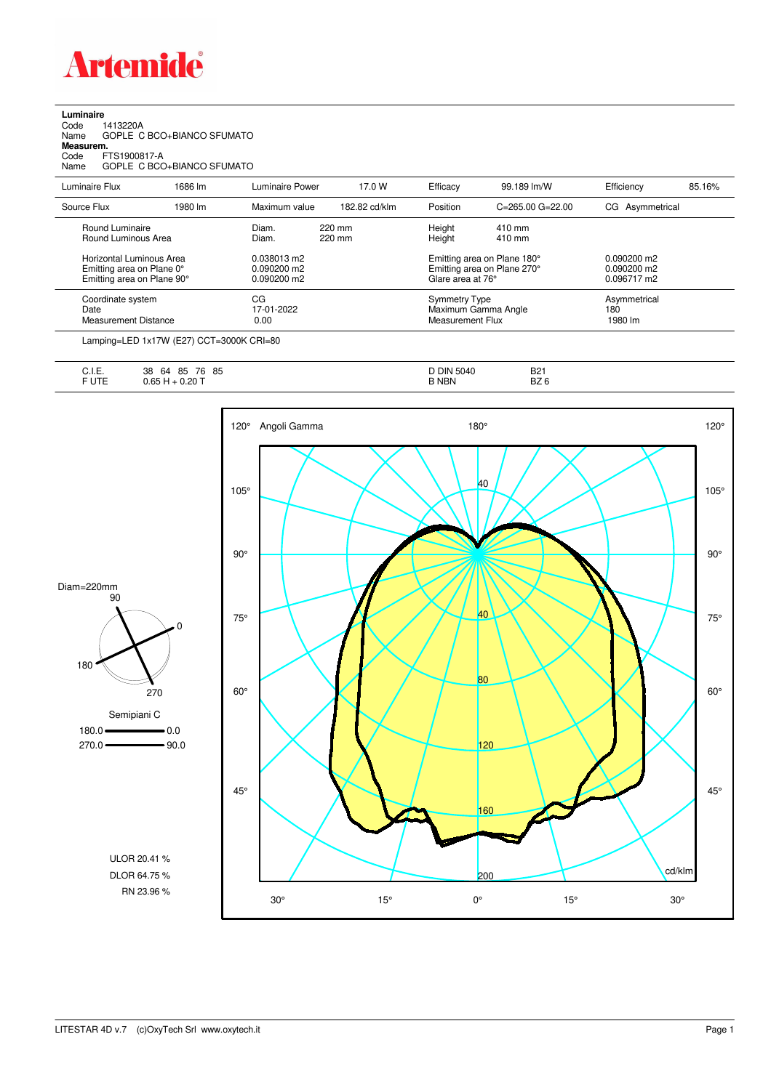

## **Luminaire**

| 1413220A                   |
|----------------------------|
| GOPLE C BCO+BIANCO SFUMATO |
| Measurem.                  |
| FTS1900817-A               |
| GOPLE C BCO+BIANCO SFUMATO |
|                            |

| Luminaire Flux                                                                      | 1686 lm | Luminaire Power                               | 17.0 W           | Efficacy                                 | 99.189 lm/W                                                | Efficiency                                    | 85.16% |
|-------------------------------------------------------------------------------------|---------|-----------------------------------------------|------------------|------------------------------------------|------------------------------------------------------------|-----------------------------------------------|--------|
| Source Flux                                                                         | 1980 lm | Maximum value                                 | 182.82 cd/klm    | Position                                 | $C = 265.00$ $G = 22.00$                                   | CG Asymmetrical                               |        |
| Round Luminaire<br>Round Luminous Area                                              |         | Diam.<br>Diam.                                | 220 mm<br>220 mm | Height<br>Height                         | 410 mm<br>$410 \text{ mm}$                                 |                                               |        |
| Horizontal Luminous Area<br>Emitting area on Plane 0°<br>Emitting area on Plane 90° |         | 0.038013 m2<br>$0.090200$ m2<br>$0.090200$ m2 |                  | Glare area at 76°                        | Emitting area on Plane 180°<br>Emitting area on Plane 270° | $0.090200$ m2<br>$0.090200$ m2<br>0.096717 m2 |        |
| Coordinate system<br>Date<br>Measurement Distance                                   |         | CG<br>17-01-2022<br>0.00                      |                  | <b>Symmetry Type</b><br>Measurement Flux | Maximum Gamma Angle                                        | Asymmetrical<br>180<br>1980 lm                |        |

Lamping=LED 1x17W (E27) CCT=3000K CRI=80

| $\sim$<br>-<br>◡… | 85<br>76<br>38<br>85<br>64 | ∙ Din<br>5040<br>، ں | B <sub>21</sub> |
|-------------------|----------------------------|----------------------|-----------------|
| ◡喉                | $+0.20 -$                  | <b>NBN</b>           | דה<br>DZ.<br>ີ  |